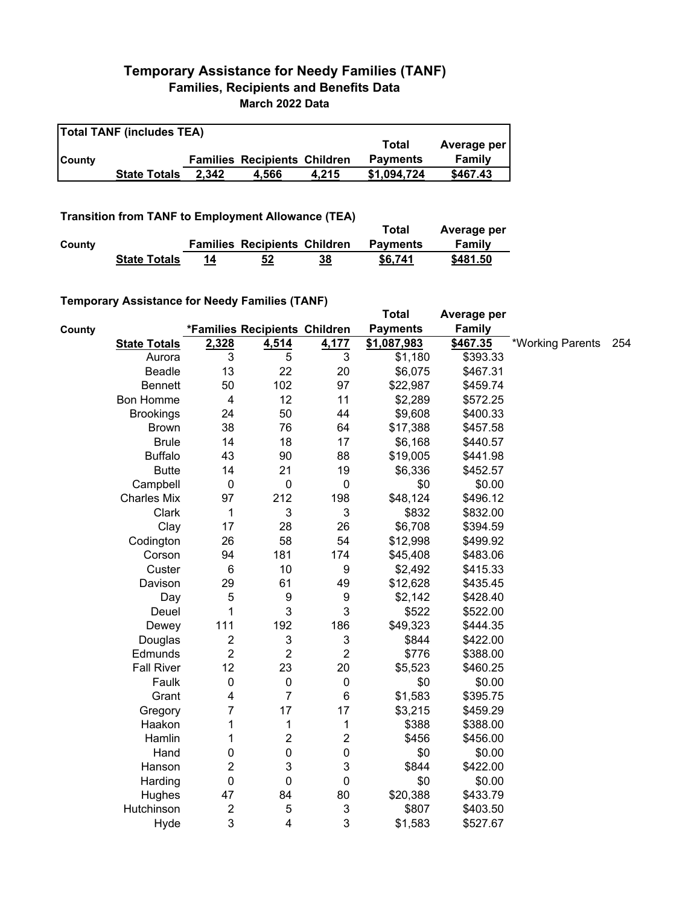## **Temporary Assistance for Needy Families (TANF) Families, Recipients and Benefits Data March 2022 Data**

| <b>Total TANF (includes TEA)</b> |                     |       |                                     |       |                 |             |  |
|----------------------------------|---------------------|-------|-------------------------------------|-------|-----------------|-------------|--|
|                                  |                     |       |                                     |       | Total           | Average per |  |
| <b>County</b>                    |                     |       | <b>Families Recipients Children</b> |       | <b>Payments</b> | Family      |  |
|                                  | <b>State Totals</b> | 2.342 | 4.566                               | 4.215 | \$1.094.724     | \$467.43    |  |

## **Transition from TANF to Employment Allowance (TEA)**

|        | <b>ITAIISIUVII ITVIII TAIVE LU EIIIPIVYIIIEIIL AIIUWAIICE (TEA)</b> |    |                                     |    | Total           | Average per |
|--------|---------------------------------------------------------------------|----|-------------------------------------|----|-----------------|-------------|
| County |                                                                     |    | <b>Families Recipients Children</b> |    | <b>Payments</b> | Family      |
|        | <b>State Totals</b>                                                 | 14 | 52                                  | 38 | \$6.741         | \$481.50    |

## **Temporary Assistance for Needy Families (TANF)**

|        | $\frac{1}{2}$ componently assistantly for Negaty Families (TANT) |                         |                               |                         | <b>Total</b>    | Average per |                  |     |
|--------|------------------------------------------------------------------|-------------------------|-------------------------------|-------------------------|-----------------|-------------|------------------|-----|
| County |                                                                  |                         | *Families Recipients Children |                         | <b>Payments</b> | Family      |                  |     |
|        | <b>State Totals</b>                                              | 2,328                   | 4,514                         | 4,177                   | \$1,087,983     | \$467.35    | *Working Parents | 254 |
|        | Aurora                                                           | 3                       | 5                             | $\mathbf{3}$            | \$1,180         | \$393.33    |                  |     |
|        | <b>Beadle</b>                                                    | 13                      | 22                            | 20                      | \$6,075         | \$467.31    |                  |     |
|        | <b>Bennett</b>                                                   | 50                      | 102                           | 97                      | \$22,987        | \$459.74    |                  |     |
|        | Bon Homme                                                        | $\overline{\mathbf{4}}$ | 12                            | 11                      | \$2,289         | \$572.25    |                  |     |
|        | <b>Brookings</b>                                                 | 24                      | 50                            | 44                      | \$9,608         | \$400.33    |                  |     |
|        | <b>Brown</b>                                                     | 38                      | 76                            | 64                      | \$17,388        | \$457.58    |                  |     |
|        | <b>Brule</b>                                                     | 14                      | 18                            | 17                      | \$6,168         | \$440.57    |                  |     |
|        | <b>Buffalo</b>                                                   | 43                      | 90                            | 88                      | \$19,005        | \$441.98    |                  |     |
|        | <b>Butte</b>                                                     | 14                      | 21                            | 19                      | \$6,336         | \$452.57    |                  |     |
|        | Campbell                                                         | $\mathbf 0$             | $\mathbf 0$                   | $\mathbf 0$             | \$0             | \$0.00      |                  |     |
|        | <b>Charles Mix</b>                                               | 97                      | 212                           | 198                     | \$48,124        | \$496.12    |                  |     |
|        | Clark                                                            | $\mathbf{1}$            | 3                             | 3                       | \$832           | \$832.00    |                  |     |
|        | Clay                                                             | 17                      | 28                            | 26                      | \$6,708         | \$394.59    |                  |     |
|        | Codington                                                        | 26                      | 58                            | 54                      | \$12,998        | \$499.92    |                  |     |
|        | Corson                                                           | 94                      | 181                           | 174                     | \$45,408        | \$483.06    |                  |     |
|        | Custer                                                           | $6\phantom{1}6$         | 10                            | $\boldsymbol{9}$        | \$2,492         | \$415.33    |                  |     |
|        | Davison                                                          | 29                      | 61                            | 49                      | \$12,628        | \$435.45    |                  |     |
|        | Day                                                              | 5                       | $\boldsymbol{9}$              | $\boldsymbol{9}$        | \$2,142         | \$428.40    |                  |     |
|        | Deuel                                                            | 1                       | 3                             | 3                       | \$522           | \$522.00    |                  |     |
|        | Dewey                                                            | 111                     | 192                           | 186                     | \$49,323        | \$444.35    |                  |     |
|        | Douglas                                                          | $\overline{\mathbf{c}}$ | $\ensuremath{\mathsf{3}}$     | 3                       | \$844           | \$422.00    |                  |     |
|        | Edmunds                                                          | $\overline{2}$          | $\overline{2}$                | $\overline{2}$          | \$776           | \$388.00    |                  |     |
|        | <b>Fall River</b>                                                | 12                      | 23                            | 20                      | \$5,523         | \$460.25    |                  |     |
|        | Faulk                                                            | $\pmb{0}$               | $\pmb{0}$                     | $\pmb{0}$               | \$0             | \$0.00      |                  |     |
|        | Grant                                                            | 4                       | $\overline{7}$                | $\,6$                   | \$1,583         | \$395.75    |                  |     |
|        | Gregory                                                          | 7                       | 17                            | 17                      | \$3,215         | \$459.29    |                  |     |
|        | Haakon                                                           | 1                       | 1                             | 1                       | \$388           | \$388.00    |                  |     |
|        | Hamlin                                                           | 1                       | $\overline{\mathbf{c}}$       | $\overline{\mathbf{c}}$ | \$456           | \$456.00    |                  |     |
|        | Hand                                                             | 0                       | $\mathbf 0$                   | $\mathbf 0$             | \$0             | \$0.00      |                  |     |
|        | Hanson                                                           | $\overline{c}$          | 3                             | 3                       | \$844           | \$422.00    |                  |     |
|        | Harding                                                          | $\mathbf 0$             | $\mathbf 0$                   | 0                       | \$0             | \$0.00      |                  |     |
|        | Hughes                                                           | 47                      | 84                            | 80                      | \$20,388        | \$433.79    |                  |     |
|        | Hutchinson                                                       | $\overline{\mathbf{c}}$ | 5                             | $\mathbf{3}$            | \$807           | \$403.50    |                  |     |
|        | Hyde                                                             | 3                       | 4                             | 3                       | \$1,583         | \$527.67    |                  |     |